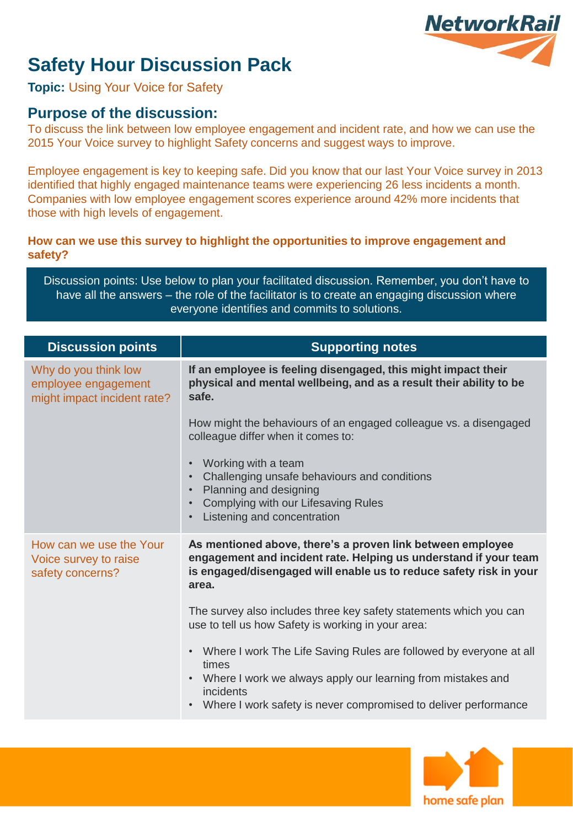# **NetworkRail**

## **Safety Hour Discussion Pack**

**Topic:** Using Your Voice for Safety

### **Purpose of the discussion:**

To discuss the link between low employee engagement and incident rate, and how we can use the 2015 Your Voice survey to highlight Safety concerns and suggest ways to improve.

Employee engagement is key to keeping safe. Did you know that our last Your Voice survey in 2013 identified that highly engaged maintenance teams were experiencing 26 less incidents a month. Companies with low employee engagement scores experience around 42% more incidents that those with high levels of engagement.

#### **How can we use this survey to highlight the opportunities to improve engagement and safety?**

Discussion points: Use below to plan your facilitated discussion. Remember, you don't have to have all the answers – the role of the facilitator is to create an engaging discussion where everyone identifies and commits to solutions.

| <b>Discussion points</b>                                                   | <b>Supporting notes</b>                                                                                                                                                                                                 |
|----------------------------------------------------------------------------|-------------------------------------------------------------------------------------------------------------------------------------------------------------------------------------------------------------------------|
| Why do you think low<br>employee engagement<br>might impact incident rate? | If an employee is feeling disengaged, this might impact their<br>physical and mental wellbeing, and as a result their ability to be<br>safe.                                                                            |
|                                                                            | How might the behaviours of an engaged colleague vs. a disengaged<br>colleague differ when it comes to:                                                                                                                 |
|                                                                            | Working with a team<br>$\bullet$<br>Challenging unsafe behaviours and conditions<br>Planning and designing<br>$\bullet$<br>Complying with our Lifesaving Rules<br>$\bullet$<br>Listening and concentration<br>$\bullet$ |
| How can we use the Your<br>Voice survey to raise<br>safety concerns?       | As mentioned above, there's a proven link between employee<br>engagement and incident rate. Helping us understand if your team<br>is engaged/disengaged will enable us to reduce safety risk in your<br>area.           |
|                                                                            | The survey also includes three key safety statements which you can<br>use to tell us how Safety is working in your area:                                                                                                |
|                                                                            | Where I work The Life Saving Rules are followed by everyone at all<br>$\bullet$<br>times                                                                                                                                |
|                                                                            | Where I work we always apply our learning from mistakes and<br>$\bullet$<br>incidents<br>Where I work safety is never compromised to deliver performance                                                                |
|                                                                            |                                                                                                                                                                                                                         |